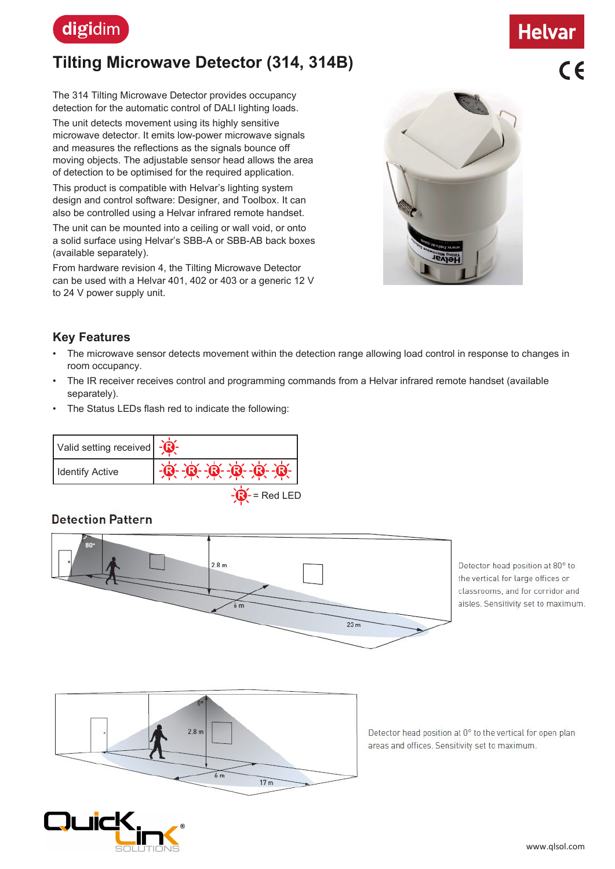

# **Tilting Microwave Detector (314, 314B)**

The 314 Tilting Microwave Detector provides occupancy detection for the automatic control of DALI lighting loads.

The unit detects movement using its highly sensitive microwave detector. It emits low-power microwave signals and measures the reflections as the signals bounce off moving objects. The adjustable sensor head allows the area of detection to be optimised for the required application.

This product is compatible with Helvar's lighting system design and control software: Designer, and Toolbox. It can also be controlled using a Helvar infrared remote handset.

The unit can be mounted into a ceiling or wall void, or onto a solid surface using Helvar's SBB-A or SBB-AB back boxes (available separately).

From hardware revision 4, the Tilting Microwave Detector can be used with a Helvar 401, 402 or 403 or a generic 12 V to 24 V power supply unit.



#### **Key Features**

- The microwave sensor detects movement within the detection range allowing load control in response to changes in room occupancy.
- The IR receiver receives control and programming commands from a Helvar infrared remote handset (available separately).
- The Status LEDs flash red to indicate the following:

| Valid setting received |              |
|------------------------|--------------|
| Identify Active        |              |
|                        | l- = Red LEL |

### **Detection Pattern**







**Helvar**